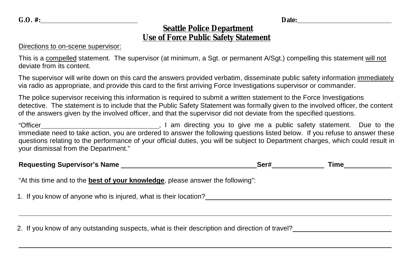## **Seattle Police Department Use of Force Public Safety Statement**

## Directions to on-scene supervisor:

This is a compelled statement. The supervisor (at minimum, a Sgt. or permanent A/Sgt.) compelling this statement will not deviate from its content.

The supervisor will write down on this card the answers provided verbatim, disseminate public safety information immediately via radio as appropriate, and provide this card to the first arriving Force Investigations supervisor or commander.

The police supervisor receiving this information is required to submit a written statement to the Force Investigations detective. The statement is to include that the Public Safety Statement was formally given to the involved officer, the content of the answers given by the involved officer, and that the supervisor did not deviate from the specified questions.

"Officer , I am directing you to give me a public safety statement. Due to the immediate need to take action, you are ordered to answer the following questions listed below. If you refuse to answer these questions relating to the performance of your official duties, you will be subject to Department charges, which could result in your dismissal from the Department."

| <b>Requesting Supervisor's Name</b>                                                    | Ser# | Time |
|----------------------------------------------------------------------------------------|------|------|
| "At this time and to the <b>best of your knowledge</b> , please answer the following": |      |      |
| 1. If you know of anyone who is injured, what is their location?                       |      |      |
|                                                                                        |      |      |

2. If you know of any outstanding suspects, what is their description and direction of travel?